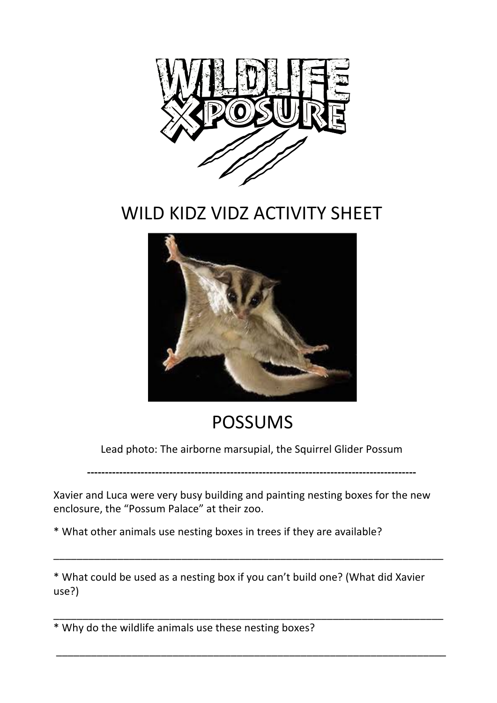

## WILD KIDZ VIDZ ACTIVITY SHEET



## POSSUMS

Lead photo: The airborne marsupial, the Squirrel Glider Possum

**--------------------------------------------------------------------------------------------**

Xavier and Luca were very busy building and painting nesting boxes for the new enclosure, the "Possum Palace" at their zoo.

\* What other animals use nesting boxes in trees if they are available?

\* What could be used as a nesting box if you can't build one? (What did Xavier use?)

\_\_\_\_\_\_\_\_\_\_\_\_\_\_\_\_\_\_\_\_\_\_\_\_\_\_\_\_\_\_\_\_\_\_\_\_\_\_\_\_\_\_\_\_\_\_\_\_\_\_\_\_\_\_\_\_\_\_\_\_\_\_\_\_\_\_\_

\_\_\_\_\_\_\_\_\_\_\_\_\_\_\_\_\_\_\_\_\_\_\_\_\_\_\_\_\_\_\_\_\_\_\_\_\_\_\_\_\_\_\_\_\_\_\_\_\_\_\_\_\_\_\_\_\_\_\_\_\_\_\_\_\_\_\_

 \_\_\_\_\_\_\_\_\_\_\_\_\_\_\_\_\_\_\_\_\_\_\_\_\_\_\_\_\_\_\_\_\_\_\_\_\_\_\_\_\_\_\_\_\_\_\_\_\_\_\_\_\_\_\_\_\_\_\_\_\_\_\_\_\_\_\_

\* Why do the wildlife animals use these nesting boxes?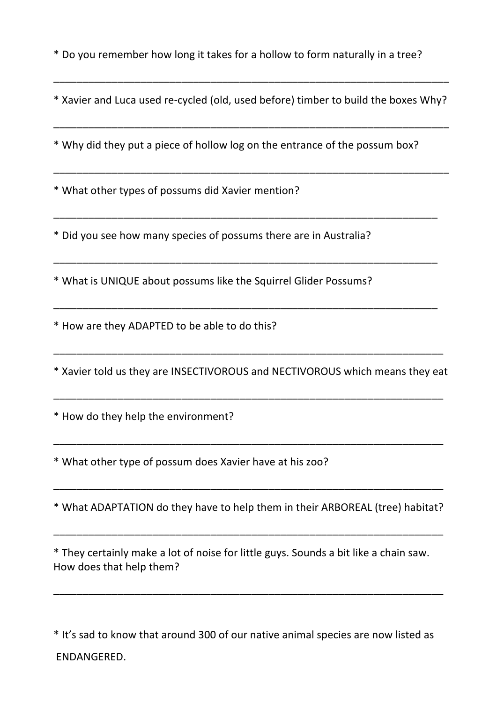\* Do you remember how long it takes for a hollow to form naturally in a tree?

\* Xavier and Luca used re-cycled (old, used before) timber to build the boxes Why?

\_\_\_\_\_\_\_\_\_\_\_\_\_\_\_\_\_\_\_\_\_\_\_\_\_\_\_\_\_\_\_\_\_\_\_\_\_\_\_\_\_\_\_\_\_\_\_\_\_\_\_\_\_\_\_\_\_\_\_\_\_\_\_\_\_\_\_\_

\_\_\_\_\_\_\_\_\_\_\_\_\_\_\_\_\_\_\_\_\_\_\_\_\_\_\_\_\_\_\_\_\_\_\_\_\_\_\_\_\_\_\_\_\_\_\_\_\_\_\_\_\_\_\_\_\_\_\_\_\_\_\_\_\_\_\_\_

\_\_\_\_\_\_\_\_\_\_\_\_\_\_\_\_\_\_\_\_\_\_\_\_\_\_\_\_\_\_\_\_\_\_\_\_\_\_\_\_\_\_\_\_\_\_\_\_\_\_\_\_\_\_\_\_\_\_\_\_\_\_\_\_\_\_

\_\_\_\_\_\_\_\_\_\_\_\_\_\_\_\_\_\_\_\_\_\_\_\_\_\_\_\_\_\_\_\_\_\_\_\_\_\_\_\_\_\_\_\_\_\_\_\_\_\_\_\_\_\_\_\_\_\_\_\_\_\_\_\_\_\_

\_\_\_\_\_\_\_\_\_\_\_\_\_\_\_\_\_\_\_\_\_\_\_\_\_\_\_\_\_\_\_\_\_\_\_\_\_\_\_\_\_\_\_\_\_\_\_\_\_\_\_\_\_\_\_\_\_\_\_\_\_\_\_\_\_\_

\_\_\_\_\_\_\_\_\_\_\_\_\_\_\_\_\_\_\_\_\_\_\_\_\_\_\_\_\_\_\_\_\_\_\_\_\_\_\_\_\_\_\_\_\_\_\_\_\_\_\_\_\_\_\_\_\_\_\_\_\_\_\_\_\_\_\_\_

\* Why did they put a piece of hollow log on the entrance of the possum box? 

\* What other types of possums did Xavier mention? 

\* Did you see how many species of possums there are in Australia? 

\* What is UNIQUE about possums like the Squirrel Glider Possums?

\* How are they ADAPTED to be able to do this? 

\* Xavier told us they are INSECTIVOROUS and NECTIVOROUS which means they eat

\_\_\_\_\_\_\_\_\_\_\_\_\_\_\_\_\_\_\_\_\_\_\_\_\_\_\_\_\_\_\_\_\_\_\_\_\_\_\_\_\_\_\_\_\_\_\_\_\_\_\_\_\_\_\_\_\_\_\_\_\_\_\_\_\_\_\_

\_\_\_\_\_\_\_\_\_\_\_\_\_\_\_\_\_\_\_\_\_\_\_\_\_\_\_\_\_\_\_\_\_\_\_\_\_\_\_\_\_\_\_\_\_\_\_\_\_\_\_\_\_\_\_\_\_\_\_\_\_\_\_\_\_\_\_

\_\_\_\_\_\_\_\_\_\_\_\_\_\_\_\_\_\_\_\_\_\_\_\_\_\_\_\_\_\_\_\_\_\_\_\_\_\_\_\_\_\_\_\_\_\_\_\_\_\_\_\_\_\_\_\_\_\_\_\_\_\_\_\_\_\_\_

\* How do they help the environment?

\* What other type of possum does Xavier have at his zoo?

\* What ADAPTATION do they have to help them in their ARBOREAL (tree) habitat? 

\_\_\_\_\_\_\_\_\_\_\_\_\_\_\_\_\_\_\_\_\_\_\_\_\_\_\_\_\_\_\_\_\_\_\_\_\_\_\_\_\_\_\_\_\_\_\_\_\_\_\_\_\_\_\_\_\_\_\_\_\_\_\_\_\_\_\_

\_\_\_\_\_\_\_\_\_\_\_\_\_\_\_\_\_\_\_\_\_\_\_\_\_\_\_\_\_\_\_\_\_\_\_\_\_\_\_\_\_\_\_\_\_\_\_\_\_\_\_\_\_\_\_\_\_\_\_\_\_\_\_\_\_\_\_

\* They certainly make a lot of noise for little guys. Sounds a bit like a chain saw. How does that help them?

\_\_\_\_\_\_\_\_\_\_\_\_\_\_\_\_\_\_\_\_\_\_\_\_\_\_\_\_\_\_\_\_\_\_\_\_\_\_\_\_\_\_\_\_\_\_\_\_\_\_\_\_\_\_\_\_\_\_\_\_\_\_\_\_\_\_\_

\* It's sad to know that around 300 of our native animal species are now listed as ENDANGERED.